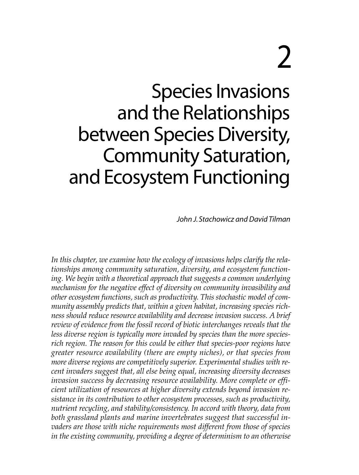# 2

Species Invasions and the Relationships between Species Diversity, Community Saturation, and Ecosystem Functioning

John J. Stachowicz and David Tilman

*In this chapter, we examine how the ecology of invasions helps clarify the relationships among community saturation, diversity, and ecosystem functioning. We begin with a theoretical approach that suggests a common underlying mechanism for the negative effect of diversity on community invasibility and other ecosystem functions, such as productivity. This stochastic model of community assembly predicts that, within a given habitat, increasing species richness should reduce resource availability and decrease invasion success. A brief review of evidence from the fossil record of biotic interchanges reveals that the less diverse region is typically more invaded by species than the more speciesrich region. The reason for this could be either that species-poor regions have greater resource availability (there are empty niches), or that species from more diverse regions are competitively superior. Experimental studies with recent invaders suggest that, all else being equal, increasing diversity decreases invasion success by decreasing resource availability. More complete or efficient utilization of resources at higher diversity extends beyond invasion resistance in its contribution to other ecosystem processes, such as productivity, nutrient recycling, and stability/consistency. In accord with theory, data from both grassland plants and marine invertebrates suggest that successful invaders are those with niche requirements most different from those of species in the existing community, providing a degree of determinism to an otherwise*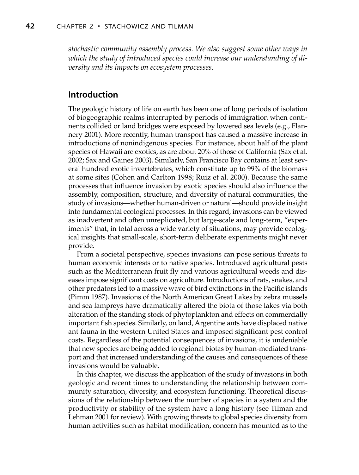*stochastic community assembly process. We also suggest some other ways in which the study of introduced species could increase our understanding of diversity and its impacts on ecosystem processes.*

# **Introduction**

The geologic history of life on earth has been one of long periods of isolation of biogeographic realms interrupted by periods of immigration when continents collided or land bridges were exposed by lowered sea levels (e.g., Flannery 2001). More recently, human transport has caused a massive increase in introductions of nonindigenous species. For instance, about half of the plant species of Hawaii are exotics, as are about 20% of those of California (Sax et al. 2002; Sax and Gaines 2003). Similarly, San Francisco Bay contains at least several hundred exotic invertebrates, which constitute up to 99% of the biomass at some sites (Cohen and Carlton 1998; Ruiz et al. 2000). Because the same processes that influence invasion by exotic species should also influence the assembly, composition, structure, and diversity of natural communities, the study of invasions—whether human-driven or natural—should provide insight into fundamental ecological processes. In this regard, invasions can be viewed as inadvertent and often unreplicated, but large-scale and long-term, "experiments" that, in total across a wide variety of situations, may provide ecological insights that small-scale, short-term deliberate experiments might never provide.

From a societal perspective, species invasions can pose serious threats to human economic interests or to native species. Introduced agricultural pests such as the Mediterranean fruit fly and various agricultural weeds and diseases impose significant costs on agriculture. Introductions of rats, snakes, and other predators led to a massive wave of bird extinctions in the Pacific islands (Pimm 1987). Invasions of the North American Great Lakes by zebra mussels and sea lampreys have dramatically altered the biota of those lakes via both alteration of the standing stock of phytoplankton and effects on commercially important fish species. Similarly, on land, Argentine ants have displaced native ant fauna in the western United States and imposed significant pest control costs. Regardless of the potential consequences of invasions, it is undeniable that new species are being added to regional biotas by human-mediated transport and that increased understanding of the causes and consequences of these invasions would be valuable.

In this chapter, we discuss the application of the study of invasions in both geologic and recent times to understanding the relationship between community saturation, diversity, and ecosystem functioning. Theoretical discussions of the relationship between the number of species in a system and the productivity or stability of the system have a long history (see Tilman and Lehman 2001 for review). With growing threats to global species diversity from human activities such as habitat modification, concern has mounted as to the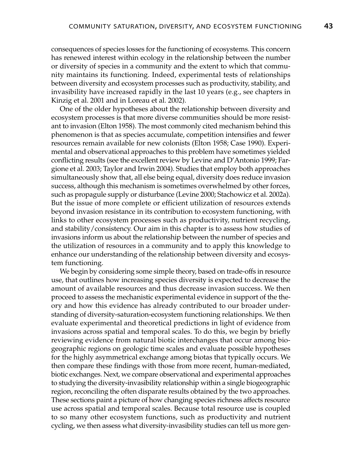consequences of species losses for the functioning of ecosystems. This concern has renewed interest within ecology in the relationship between the number or diversity of species in a community and the extent to which that community maintains its functioning. Indeed, experimental tests of relationships between diversity and ecosystem processes such as productivity, stability, and invasibility have increased rapidly in the last 10 years (e.g., see chapters in Kinzig et al. 2001 and in Loreau et al. 2002).

One of the older hypotheses about the relationship between diversity and ecosystem processes is that more diverse communities should be more resistant to invasion (Elton 1958). The most commonly cited mechanism behind this phenomenon is that as species accumulate, competition intensifies and fewer resources remain available for new colonists (Elton 1958; Case 1990). Experimental and observational approaches to this problem have sometimes yielded conflicting results (see the excellent review by Levine and D'Antonio 1999; Fargione et al. 2003; Taylor and Irwin 2004). Studies that employ both approaches simultaneously show that, all else being equal, diversity does reduce invasion success, although this mechanism is sometimes overwhelmed by other forces, such as propagule supply or disturbance (Levine 2000; Stachowicz et al. 2002a). But the issue of more complete or efficient utilization of resources extends beyond invasion resistance in its contribution to ecosystem functioning, with links to other ecosystem processes such as productivity, nutrient recycling, and stability/consistency. Our aim in this chapter is to assess how studies of invasions inform us about the relationship between the number of species and the utilization of resources in a community and to apply this knowledge to enhance our understanding of the relationship between diversity and ecosystem functioning.

We begin by considering some simple theory, based on trade-offs in resource use, that outlines how increasing species diversity is expected to decrease the amount of available resources and thus decrease invasion success. We then proceed to assess the mechanistic experimental evidence in support of the theory and how this evidence has already contributed to our broader understanding of diversity-saturation-ecosystem functioning relationships. We then evaluate experimental and theoretical predictions in light of evidence from invasions across spatial and temporal scales. To do this, we begin by briefly reviewing evidence from natural biotic interchanges that occur among biogeographic regions on geologic time scales and evaluate possible hypotheses for the highly asymmetrical exchange among biotas that typically occurs. We then compare these findings with those from more recent, human-mediated, biotic exchanges. Next, we compare observational and experimental approaches to studying the diversity-invasibility relationship within a single biogeographic region, reconciling the often disparate results obtained by the two approaches. These sections paint a picture of how changing species richness affects resource use across spatial and temporal scales. Because total resource use is coupled to so many other ecosystem functions, such as productivity and nutrient cycling, we then assess what diversity-invasibility studies can tell us more gen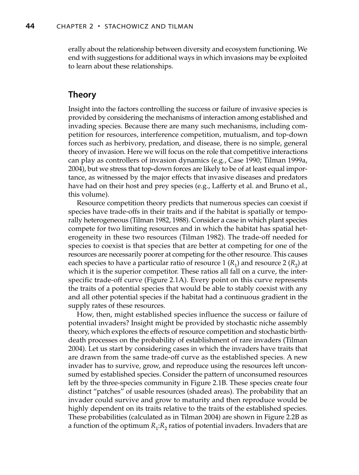erally about the relationship between diversity and ecosystem functioning. We end with suggestions for additional ways in which invasions may be exploited to learn about these relationships.

## **Theory**

Insight into the factors controlling the success or failure of invasive species is provided by considering the mechanisms of interaction among established and invading species. Because there are many such mechanisms, including competition for resources, interference competition, mutualism, and top-down forces such as herbivory, predation, and disease, there is no simple, general theory of invasion. Here we will focus on the role that competitive interactions can play as controllers of invasion dynamics (e.g., Case 1990; Tilman 1999a, 2004), but we stress that top-down forces are likely to be of at least equal importance, as witnessed by the major effects that invasive diseases and predators have had on their host and prey species (e.g., Lafferty et al. and Bruno et al., this volume).

Resource competition theory predicts that numerous species can coexist if species have trade-offs in their traits and if the habitat is spatially or temporally heterogeneous (Tilman 1982, 1988). Consider a case in which plant species compete for two limiting resources and in which the habitat has spatial heterogeneity in these two resources (Tilman 1982). The trade-off needed for species to coexist is that species that are better at competing for one of the resources are necessarily poorer at competing for the other resource. This causes each species to have a particular ratio of resource 1  $(R_1)$  and resource 2  $(R_2)$  at which it is the superior competitor. These ratios all fall on a curve, the interspecific trade-off curve (Figure 2.1A). Every point on this curve represents the traits of a potential species that would be able to stably coexist with any and all other potential species if the habitat had a continuous gradient in the supply rates of these resources.

How, then, might established species influence the success or failure of potential invaders? Insight might be provided by stochastic niche assembly theory, which explores the effects of resource competition and stochastic birthdeath processes on the probability of establishment of rare invaders (Tilman 2004). Let us start by considering cases in which the invaders have traits that are drawn from the same trade-off curve as the established species. A new invader has to survive, grow, and reproduce using the resources left unconsumed by established species. Consider the pattern of unconsumed resources left by the three-species community in Figure 2.1B. These species create four distinct "patches" of usable resources (shaded areas). The probability that an invader could survive and grow to maturity and then reproduce would be highly dependent on its traits relative to the traits of the established species. These probabilities (calculated as in Tilman 2004) are shown in Figure 2.2B as a function of the optimum  $R_1:R_2$  ratios of potential invaders. Invaders that are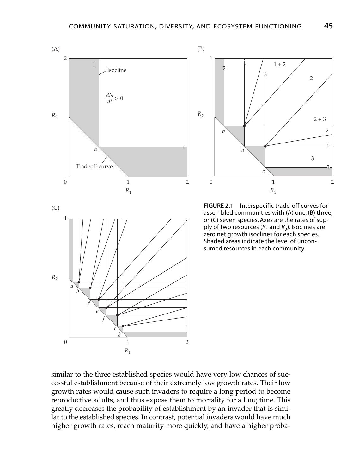



**FIGURE 2.1** Interspecific trade-off curves for assembled communities with (A) one, (B) three, or (C) seven species. Axes are the rates of supply of two resources ( $R_1$  and  $R_2$ ). Isoclines are zero net growth isoclines for each species. Shaded areas indicate the level of unconsumed resources in each community.

similar to the three established species would have very low chances of successful establishment because of their extremely low growth rates. Their low growth rates would cause such invaders to require a long period to become reproductive adults, and thus expose them to mortality for a long time. This greatly decreases the probability of establishment by an invader that is similar to the established species. In contrast, potential invaders would have much higher growth rates, reach maturity more quickly, and have a higher proba-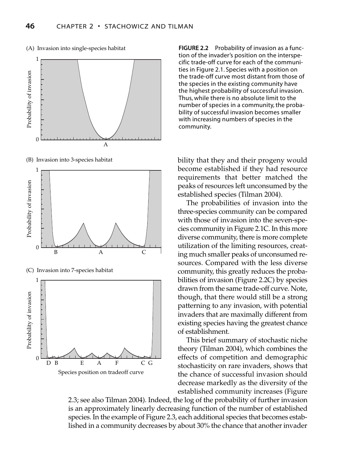

(A) Invasion into single-species habitat

(B) Invasion into 3-species habitat



A Species position on tradeoff curve

0

ties in Figure 2.1. Species with a position on the trade-off curve most distant from those of the species in the existing community have the highest probability of successful invasion. Thus, while there is no absolute limit to the number of species in a community, the probability of successful invasion becomes smaller with increasing numbers of species in the community.

**FIGURE 2.2** Probability of invasion as a function of the invader's position on the interspecific trade-off curve for each of the communi-

bility that they and their progeny would become established if they had resource requirements that better matched the peaks of resources left unconsumed by the established species (Tilman 2004).

The probabilities of invasion into the three-species community can be compared with those of invasion into the seven-species community in Figure 2.1C. In this more diverse community, there is more complete utilization of the limiting resources, creating much smaller peaks of unconsumed resources. Compared with the less diverse community, this greatly reduces the probabilities of invasion (Figure 2.2C) by species drawn from the same trade-off curve. Note, though, that there would still be a strong patterning to any invasion, with potential invaders that are maximally different from existing species having the greatest chance of establishment.

This brief summary of stochastic niche theory (Tilman 2004), which combines the effects of competition and demographic stochasticity on rare invaders, shows that the chance of successful invasion should decrease markedly as the diversity of the established community increases (Figure

2.3; see also Tilman 2004). Indeed, the log of the probability of further invasion is an approximately linearly decreasing function of the number of established species. In the example of Figure 2.3, each additional species that becomes established in a community decreases by about 30% the chance that another invader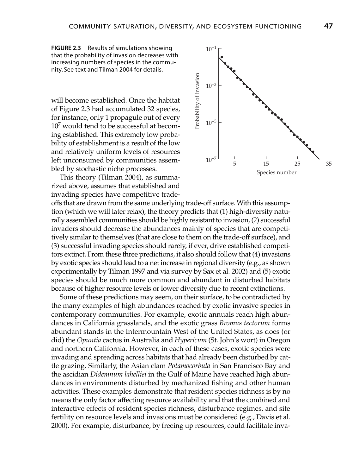**FIGURE 2.3** Results of simulations showing that the probability of invasion decreases with increasing numbers of species in the community. See text and Tilman 2004 for details.

will become established. Once the habitat of Figure 2.3 had accumulated 32 species, for instance, only 1 propagule out of every  $10<sup>7</sup>$  would tend to be successful at becoming established. This extremely low probability of establishment is a result of the low and relatively uniform levels of resources left unconsumed by communities assembled by stochastic niche processes.

This theory (Tilman 2004), as summarized above, assumes that established and invading species have competitive trade-



offs that are drawn from the same underlying trade-off surface. With this assumption (which we will later relax), the theory predicts that (1) high-diversity naturally assembled communities should be highly resistant to invasion, (2) successful invaders should decrease the abundances mainly of species that are competitively similar to themselves (that are close to them on the trade-off surface), and (3) successful invading species should rarely, if ever, drive established competitors extinct. From these three predictions, it also should follow that (4) invasions by exotic species should lead to a net increase in regional diversity (e.g., as shown experimentally by Tilman 1997 and via survey by Sax et al. 2002) and (5) exotic species should be much more common and abundant in disturbed habitats because of higher resource levels or lower diversity due to recent extinctions.

Some of these predictions may seem, on their surface, to be contradicted by the many examples of high abundances reached by exotic invasive species in contemporary communities. For example, exotic annuals reach high abundances in California grasslands, and the exotic grass *Bromus tectorum* forms abundant stands in the Intermountain West of the United States, as does (or did) the *Opuntia* cactus in Australia and *Hypericum* (St. John's wort) in Oregon and northern California. However, in each of these cases, exotic species were invading and spreading across habitats that had already been disturbed by cattle grazing. Similarly, the Asian clam *Potamocorbula* in San Francisco Bay and the ascidian *Didemnum lahelliei* in the Gulf of Maine have reached high abundances in environments disturbed by mechanized fishing and other human activities. These examples demonstrate that resident species richness is by no means the only factor affecting resource availability and that the combined and interactive effects of resident species richness, disturbance regimes, and site fertility on resource levels and invasions must be considered (e.g., Davis et al. 2000). For example, disturbance, by freeing up resources, could facilitate inva-*Species Invasion*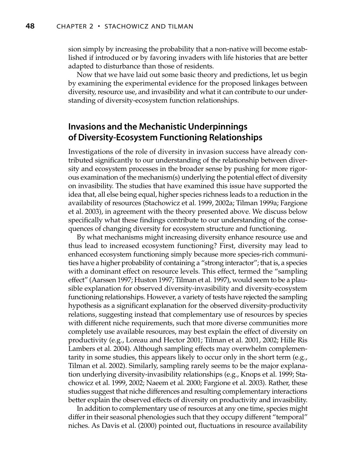sion simply by increasing the probability that a non-native will become established if introduced or by favoring invaders with life histories that are better adapted to disturbance than those of residents.

Now that we have laid out some basic theory and predictions, let us begin by examining the experimental evidence for the proposed linkages between diversity, resource use, and invasibility and what it can contribute to our understanding of diversity-ecosystem function relationships.

# **Invasions and the Mechanistic Underpinnings of Diversity-Ecosystem Functioning Relationships**

Investigations of the role of diversity in invasion success have already contributed significantly to our understanding of the relationship between diversity and ecosystem processes in the broader sense by pushing for more rigorous examination of the mechanism(s) underlying the potential effect of diversity on invasibility. The studies that have examined this issue have supported the idea that, all else being equal, higher species richness leads to a reduction in the availability of resources (Stachowicz et al. 1999, 2002a; Tilman 1999a; Fargione et al. 2003), in agreement with the theory presented above. We discuss below specifically what these findings contribute to our understanding of the consequences of changing diversity for ecosystem structure and functioning.

By what mechanisms might increasing diversity enhance resource use and thus lead to increased ecosystem functioning? First, diversity may lead to enhanced ecosystem functioning simply because more species-rich communities have a higher probability of containing a "strong interactor"; that is, a species with a dominant effect on resource levels. This effect, termed the "sampling effect" (Aarssen 1997; Huston 1997; Tilman et al. 1997), would seem to be a plausible explanation for observed diversity-invasibility and diversity-ecosystem functioning relationships. However, a variety of tests have rejected the sampling hypothesis as a significant explanation for the observed diversity-productivity relations, suggesting instead that complementary use of resources by species with different niche requirements, such that more diverse communities more completely use available resources, may best explain the effect of diversity on productivity (e.g., Loreau and Hector 2001; Tilman et al. 2001, 2002; Hille Ris Lambers et al. 2004). Although sampling effects may overwhelm complementarity in some studies, this appears likely to occur only in the short term (e.g., Tilman et al. 2002). Similarly, sampling rarely seems to be the major explanation underlying diversity-invasibility relationships (e.g., Knops et al. 1999; Stachowicz et al. 1999, 2002; Naeem et al. 2000; Fargione et al. 2003). Rather, these studies suggest that niche differences and resulting complementary interactions better explain the observed effects of diversity on productivity and invasibility.

In addition to complementary use of resources at any one time, species might differ in their seasonal phenologies such that they occupy different "temporal" niches. As Davis et al. (2000) pointed out, fluctuations in resource availability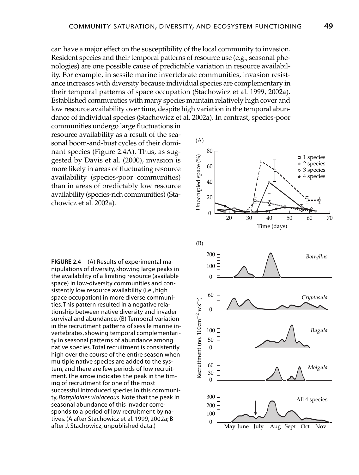can have a major effect on the susceptibility of the local community to invasion. Resident species and their temporal patterns of resource use (e.g., seasonal phenologies) are one possible cause of predictable variation in resource availability. For example, in sessile marine invertebrate communities, invasion resistance increases with diversity because individual species are complementary in their temporal patterns of space occupation (Stachowicz et al. 1999, 2002a). Established communities with many species maintain relatively high cover and low resource availability over time, despite high variation in the temporal abundance of individual species (Stachowicz et al. 2002a). In contrast, species-poor

communities undergo large fluctuations in resource availability as a result of the seasonal boom-and-bust cycles of their dominant species (Figure 2.4A). Thus, as suggested by Davis et al. (2000), invasion is more likely in areas of fluctuating resource availability (species-poor communities) than in areas of predictably low resource availability (species-rich communities) (Stachowicz et al. 2002a).

**FIGURE 2.4** (A) Results of experimental manipulations of diversity, showing large peaks in the availability of a limiting resource (available space) in low-diversity communities and consistently low resource availability (i.e., high space occupation) in more diverse communities. This pattern resulted in a negative relationship between native diversity and invader survival and abundance. (B) Temporal variation in the recruitment patterns of sessile marine invertebrates, showing temporal complementarity in seasonal patterns of abundance among native species. Total recruitment is consistently high over the course of the entire season when multiple native species are added to the system, and there are few periods of low recruitment. The arrow indicates the peak in the timing of recruitment for one of the most successful introduced species in this community, Botrylloides violaceous. Note that the peak in seasonal abundance of this invader corresponds to a period of low recruitment by natives. (A after Stachowicz et al. 1999, 2002a; B after J. Stachowicz, unpublished data.)

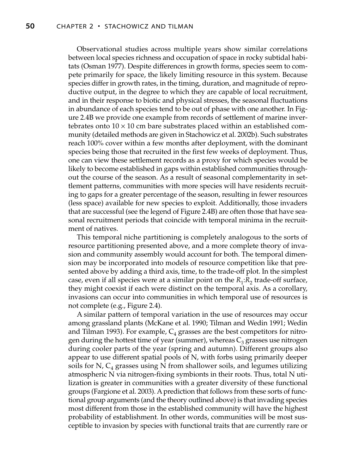Observational studies across multiple years show similar correlations between local species richness and occupation of space in rocky subtidal habitats (Osman 1977). Despite differences in growth forms, species seem to compete primarily for space, the likely limiting resource in this system. Because species differ in growth rates, in the timing, duration, and magnitude of reproductive output, in the degree to which they are capable of local recruitment, and in their response to biotic and physical stresses, the seasonal fluctuations in abundance of each species tend to be out of phase with one another. In Figure 2.4B we provide one example from records of settlement of marine invertebrates onto  $10 \times 10$  cm bare substrates placed within an established community (detailed methods are given in Stachowicz et al. 2002b). Such substrates reach 100% cover within a few months after deployment, with the dominant species being those that recruited in the first few weeks of deployment. Thus, one can view these settlement records as a proxy for which species would be likely to become established in gaps within established communities throughout the course of the season. As a result of seasonal complementarity in settlement patterns, communities with more species will have residents recruiting to gaps for a greater percentage of the season, resulting in fewer resources (less space) available for new species to exploit. Additionally, those invaders that are successful (see the legend of Figure 2.4B) are often those that have seasonal recruitment periods that coincide with temporal minima in the recruitment of natives.

This temporal niche partitioning is completely analogous to the sorts of resource partitioning presented above, and a more complete theory of invasion and community assembly would account for both. The temporal dimension may be incorporated into models of resource competition like that presented above by adding a third axis, time, to the trade-off plot. In the simplest case, even if all species were at a similar point on the  $R_1:R_2$  trade-off surface, they might coexist if each were distinct on the temporal axis. As a corollary, invasions can occur into communities in which temporal use of resources is not complete (e.g., Figure 2.4).

A similar pattern of temporal variation in the use of resources may occur among grassland plants (McKane et al. 1990; Tilman and Wedin 1991; Wedin and Tilman 1993). For example,  $C_4$  grasses are the best competitors for nitrogen during the hottest time of year (summer), whereas  $C_3$  grasses use nitrogen during cooler parts of the year (spring and autumn). Different groups also appear to use different spatial pools of N, with forbs using primarily deeper soils for N,  $C_4$  grasses using N from shallower soils, and legumes utilizing atmospheric N via nitrogen-fixing symbionts in their roots. Thus, total N utilization is greater in communities with a greater diversity of these functional groups (Fargione et al. 2003). A prediction that follows from these sorts of functional group arguments (and the theory outlined above) is that invading species most different from those in the established community will have the highest probability of establishment. In other words, communities will be most susceptible to invasion by species with functional traits that are currently rare or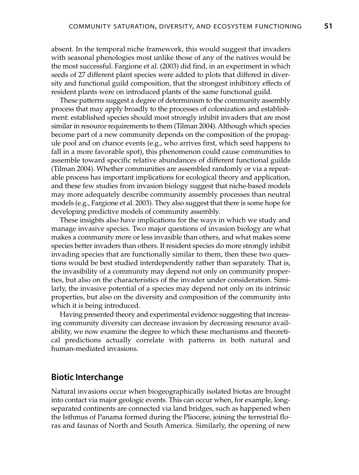absent. In the temporal niche framework, this would suggest that invaders with seasonal phenologies most unlike those of any of the natives would be the most successful. Fargione et al. (2003) did find, in an experiment in which seeds of 27 different plant species were added to plots that differed in diversity and functional guild composition, that the strongest inhibitory effects of resident plants were on introduced plants of the same functional guild.

These patterns suggest a degree of determinism to the community assembly process that may apply broadly to the processes of colonization and establishment: established species should most strongly inhibit invaders that are most similar in resource requirements to them (Tilman 2004). Although which species become part of a new community depends on the composition of the propagule pool and on chance events (e.g., who arrives first, which seed happens to fall in a more favorable spot), this phenomenon could cause communities to assemble toward specific relative abundances of different functional guilds (Tilman 2004). Whether communities are assembled randomly or via a repeatable process has important implications for ecological theory and application, and these few studies from invasion biology suggest that niche-based models may more adequately describe community assembly processes than neutral models (e.g., Fargione et al. 2003). They also suggest that there is some hope for developing predictive models of community assembly.

These insights also have implications for the ways in which we study and manage invasive species. Two major questions of invasion biology are what makes a community more or less invasible than others, and what makes some species better invaders than others. If resident species do more strongly inhibit invading species that are functionally similar to them, then these two questions would be best studied interdependently rather than separately. That is, the invasibility of a community may depend not only on community properties, but also on the characteristics of the invader under consideration. Similarly, the invasive potential of a species may depend not only on its intrinsic properties, but also on the diversity and composition of the community into which it is being introduced.

Having presented theory and experimental evidence suggesting that increasing community diversity can decrease invasion by decreasing resource availability, we now examine the degree to which these mechanisms and theoretical predictions actually correlate with patterns in both natural and human-mediated invasions.

## **Biotic Interchange**

Natural invasions occur when biogeographically isolated biotas are brought into contact via major geologic events. This can occur when, for example, longseparated continents are connected via land bridges, such as happened when the Isthmus of Panama formed during the Pliocene, joining the terrestrial floras and faunas of North and South America. Similarly, the opening of new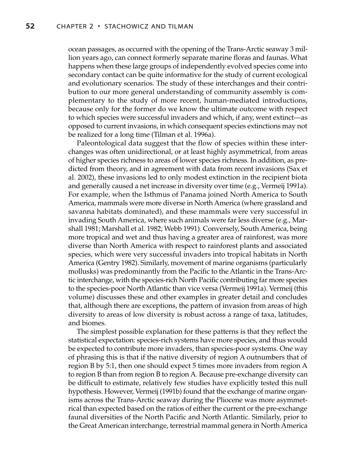ocean passages, as occurred with the opening of the Trans-Arctic seaway 3 million years ago, can connect formerly separate marine floras and faunas. What happens when these large groups of independently evolved species come into secondary contact can be quite informative for the study of current ecological and evolutionary scenarios. The study of these interchanges and their contribution to our more general understanding of community assembly is complementary to the study of more recent, human-mediated introductions, because only for the former do we know the ultimate outcome with respect to which species were successful invaders and which, if any, went extinct—as opposed to current invasions, in which consequent species extinctions may not be realized for a long time (Tilman et al. 1996a).

Paleontological data suggest that the flow of species within these interchanges was often unidirectional, or at least highly asymmetrical, from areas of higher species richness to areas of lower species richness. In addition, as predicted from theory, and in agreement with data from recent invasions (Sax et al. 2002), these invasions led to only modest extinction in the recipient biota and generally caused a net increase in diversity over time (e.g., Vermeij 1991a). For example, when the Isthmus of Panama joined North America to South America, mammals were more diverse in North America (where grassland and savanna habitats dominated), and these mammals were very successful in invading South America, where such animals were far less diverse (e.g., Marshall 1981; Marshall et al. 1982; Webb 1991). Conversely, South America, being more tropical and wet and thus having a greater area of rainforest, was more diverse than North America with respect to rainforest plants and associated species, which were very successful invaders into tropical habitats in North America (Gentry 1982). Similarly, movement of marine organisms (particularly mollusks) was predominantly from the Pacific to the Atlantic in the Trans-Arctic interchange, with the species-rich North Pacific contributing far more species to the species-poor North Atlantic than vice versa (Vermeij 1991a). Vermeij (this volume) discusses these and other examples in greater detail and concludes that, although there are exceptions, the pattern of invasion from areas of high diversity to areas of low diversity is robust across a range of taxa, latitudes, and biomes.

The simplest possible explanation for these patterns is that they reflect the statistical expectation: species-rich systems have more species, and thus would be expected to contribute more invaders, than species-poor systems. One way of phrasing this is that if the native diversity of region A outnumbers that of region B by 5:1, then one should expect 5 times more invaders from region A to region B than from region B to region A. Because pre-exchange diversity can be difficult to estimate, relatively few studies have explicitly tested this null hypothesis. However, Vermeij (1991b) found that the exchange of marine organisms across the Trans-Arctic seaway during the Pliocene was more asymmetrical than expected based on the ratios of either the current or the pre-exchange faunal diversities of the North Pacific and North Atlantic. Similarly, prior to the Great American interchange, terrestrial mammal genera in North America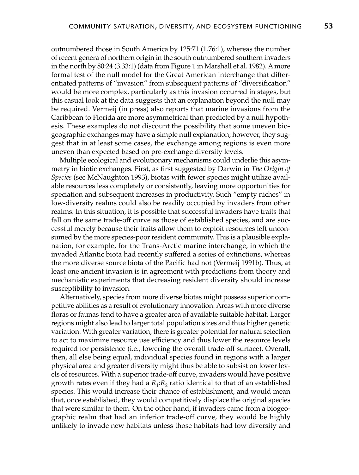outnumbered those in South America by 125:71 (1.76:1), whereas the number of recent genera of northern origin in the south outnumbered southern invaders in the north by 80:24 (3.33:1) (data from Figure 1 in Marshall et al. 1982). A more formal test of the null model for the Great American interchange that differentiated patterns of "invasion" from subsequent patterns of "diversification" would be more complex, particularly as this invasion occurred in stages, but this casual look at the data suggests that an explanation beyond the null may be required. Vermeij (in press) also reports that marine invasions from the Caribbean to Florida are more asymmetrical than predicted by a null hypothesis. These examples do not discount the possibility that some uneven biogeographic exchanges may have a simple null explanation; however, they suggest that in at least some cases, the exchange among regions is even more uneven than expected based on pre-exchange diversity levels.

Multiple ecological and evolutionary mechanisms could underlie this asymmetry in biotic exchanges. First, as first suggested by Darwin in *The Origin of Species* (see McNaughton 1993), biotas with fewer species might utilize available resources less completely or consistently, leaving more opportunities for speciation and subsequent increases in productivity. Such "empty niches" in low-diversity realms could also be readily occupied by invaders from other realms. In this situation, it is possible that successful invaders have traits that fall on the same trade-off curve as those of established species, and are successful merely because their traits allow them to exploit resources left unconsumed by the more species-poor resident community. This is a plausible explanation, for example, for the Trans-Arctic marine interchange, in which the invaded Atlantic biota had recently suffered a series of extinctions, whereas the more diverse source biota of the Pacific had not (Vermeij 1991b). Thus, at least one ancient invasion is in agreement with predictions from theory and mechanistic experiments that decreasing resident diversity should increase susceptibility to invasion.

Alternatively, species from more diverse biotas might possess superior competitive abilities as a result of evolutionary innovation. Areas with more diverse floras or faunas tend to have a greater area of available suitable habitat. Larger regions might also lead to larger total population sizes and thus higher genetic variation. With greater variation, there is greater potential for natural selection to act to maximize resource use efficiency and thus lower the resource levels required for persistence (i.e., lowering the overall trade-off surface). Overall, then, all else being equal, individual species found in regions with a larger physical area and greater diversity might thus be able to subsist on lower levels of resources. With a superior trade-off curve, invaders would have positive growth rates even if they had a  $R_1:R_2$  ratio identical to that of an established species. This would increase their chance of establishment, and would mean that, once established, they would competitively displace the original species that were similar to them. On the other hand, if invaders came from a biogeographic realm that had an inferior trade-off curve, they would be highly unlikely to invade new habitats unless those habitats had low diversity and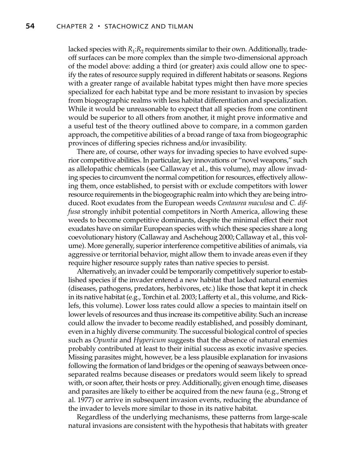lacked species with  $R_1:R_2$  requirements similar to their own. Additionally, tradeoff surfaces can be more complex than the simple two-dimensional approach of the model above: adding a third (or greater) axis could allow one to specify the rates of resource supply required in different habitats or seasons. Regions with a greater range of available habitat types might then have more species specialized for each habitat type and be more resistant to invasion by species from biogeographic realms with less habitat differentiation and specialization. While it would be unreasonable to expect that all species from one continent would be superior to all others from another, it might prove informative and a useful test of the theory outlined above to compare, in a common garden approach, the competitive abilities of a broad range of taxa from biogeographic provinces of differing species richness and/or invasibility.

There are, of course, other ways for invading species to have evolved superior competitive abilities. In particular, key innovations or "novel weapons," such as allelopathic chemicals (see Callaway et al., this volume), may allow invading species to circumvent the normal competition for resources, effectively allowing them, once established, to persist with or exclude competitors with lower resource requirements in the biogeographic realm into which they are being introduced. Root exudates from the European weeds *Centaurea maculosa* and *C. diffusa* strongly inhibit potential competitors in North America, allowing these weeds to become competitive dominants, despite the minimal effect their root exudates have on similar European species with which these species share a long coevolutionary history (Callaway and Aschehoug 2000; Callaway et al., this volume). More generally, superior interference competitive abilities of animals, via aggressive or territorial behavior, might allow them to invade areas even if they require higher resource supply rates than native species to persist.

Alternatively, an invader could be temporarily competitively superior to established species if the invader entered a new habitat that lacked natural enemies (diseases, pathogens, predators, herbivores, etc.) like those that kept it in check in its native habitat (e.g., Torchin et al. 2003; Lafferty et al., this volume, and Ricklefs, this volume). Lower loss rates could allow a species to maintain itself on lower levels of resources and thus increase its competitive ability. Such an increase could allow the invader to become readily established, and possibly dominant, even in a highly diverse community. The successful biological control of species such as *Opuntia* and *Hypericum* suggests that the absence of natural enemies probably contributed at least to their initial success as exotic invasive species. Missing parasites might, however, be a less plausible explanation for invasions following the formation of land bridges or the opening of seaways between onceseparated realms because diseases or predators would seem likely to spread with, or soon after, their hosts or prey. Additionally, given enough time, diseases and parasites are likely to either be acquired from the new fauna (e.g., Strong et al. 1977) or arrive in subsequent invasion events, reducing the abundance of the invader to levels more similar to those in its native habitat.

Regardless of the underlying mechanisms, these patterns from large-scale natural invasions are consistent with the hypothesis that habitats with greater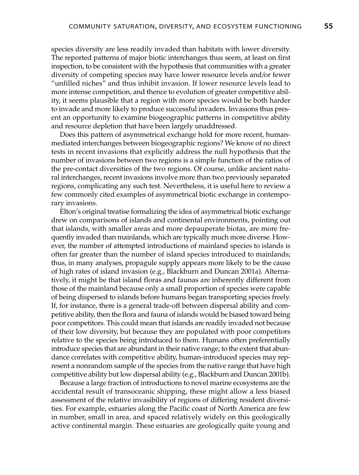species diversity are less readily invaded than habitats with lower diversity. The reported patterns of major biotic interchanges thus seem, at least on first inspection, to be consistent with the hypothesis that communities with a greater diversity of competing species may have lower resource levels and/or fewer "unfilled niches" and thus inhibit invasion. If lower resource levels lead to more intense competition, and thence to evolution of greater competitive ability, it seems plausible that a region with more species would be both harder to invade and more likely to produce successful invaders. Invasions thus present an opportunity to examine biogeographic patterns in competitive ability and resource depletion that have been largely unaddressed.

Does this pattern of asymmetrical exchange hold for more recent, humanmediated interchanges between biogeographic regions? We know of no direct tests in recent invasions that explicitly address the null hypothesis that the number of invasions between two regions is a simple function of the ratios of the pre-contact diversities of the two regions. Of course, unlike ancient natural interchanges, recent invasions involve more than two previously separated regions, complicating any such test. Nevertheless, it is useful here to review a few commonly cited examples of asymmetrical biotic exchange in contemporary invasions.

Elton's original treatise formalizing the idea of asymmetrical biotic exchange drew on comparisons of islands and continental environments, pointing out that islands, with smaller areas and more depauperate biotas, are more frequently invaded than mainlands, which are typically much more diverse. However, the number of attempted introductions of mainland species to islands is often far greater than the number of island species introduced to mainlands; thus, in many analyses, propagule supply appears more likely to be the cause of high rates of island invasion (e.g., Blackburn and Duncan 2001a). Alternatively, it might be that island floras and faunas are inherently different from those of the mainland because only a small proportion of species were capable of being dispersed to islands before humans began transporting species freely. If, for instance, there is a general trade-off between dispersal ability and competitive ability, then the flora and fauna of islands would be biased toward being poor competitors. This could mean that islands are readily invaded not because of their low diversity, but because they are populated with poor competitors relative to the species being introduced to them. Humans often preferentially introduce species that are abundant in their native range; to the extent that abundance correlates with competitive ability, human-introduced species may represent a nonrandom sample of the species from the native range that have high competitive ability but low dispersal ability (e.g., Blackburn and Duncan 2001b).

Because a large fraction of introductions to novel marine ecosystems are the accidental result of transoceanic shipping, these might allow a less biased assessment of the relative invasibility of regions of differing resident diversities. For example, estuaries along the Pacific coast of North America are few in number, small in area, and spaced relatively widely on this geologically active continental margin. These estuaries are geologically quite young and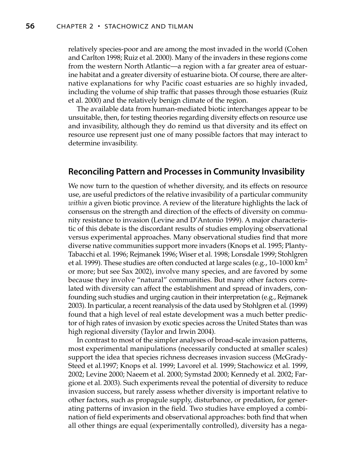relatively species-poor and are among the most invaded in the world (Cohen and Carlton 1998; Ruiz et al. 2000). Many of the invaders in these regions come from the western North Atlantic—a region with a far greater area of estuarine habitat and a greater diversity of estuarine biota. Of course, there are alternative explanations for why Pacific coast estuaries are so highly invaded, including the volume of ship traffic that passes through those estuaries (Ruiz et al. 2000) and the relatively benign climate of the region.

The available data from human-mediated biotic interchanges appear to be unsuitable, then, for testing theories regarding diversity effects on resource use and invasibility, although they do remind us that diversity and its effect on resource use represent just one of many possible factors that may interact to determine invasibility.

## **Reconciling Pattern and Processes in Community Invasibility**

We now turn to the question of whether diversity, and its effects on resource use, are useful predictors of the relative invasibility of a particular community *within* a given biotic province. A review of the literature highlights the lack of consensus on the strength and direction of the effects of diversity on community resistance to invasion (Levine and D'Antonio 1999). A major characteristic of this debate is the discordant results of studies employing observational versus experimental approaches. Many observational studies find that more diverse native communities support more invaders (Knops et al. 1995; Planty-Tabacchi et al. 1996; Rejmanek 1996; Wiser et al. 1998; Lonsdale 1999; Stohlgren et al. 1999). These studies are often conducted at large scales (e.g.,  $10-1000 \text{ km}^2$ or more; but see Sax 2002), involve many species, and are favored by some because they involve "natural" communities. But many other factors correlated with diversity can affect the establishment and spread of invaders, confounding such studies and urging caution in their interpretation (e.g., Rejmanek 2003). In particular, a recent reanalysis of the data used by Stohlgren et al. (1999) found that a high level of real estate development was a much better predictor of high rates of invasion by exotic species across the United States than was high regional diversity (Taylor and Irwin 2004).

In contrast to most of the simpler analyses of broad-scale invasion patterns, most experimental manipulations (necessarily conducted at smaller scales) support the idea that species richness decreases invasion success (McGrady-Steed et al.1997; Knops et al. 1999; Lavorel et al. 1999; Stachowicz et al. 1999, 2002; Levine 2000; Naeem et al. 2000; Symstad 2000; Kennedy et al. 2002; Fargione et al. 2003). Such experiments reveal the potential of diversity to reduce invasion success, but rarely assess whether diversity is important relative to other factors, such as propagule supply, disturbance, or predation, for generating patterns of invasion in the field. Two studies have employed a combination of field experiments and observational approaches: both find that when all other things are equal (experimentally controlled), diversity has a nega-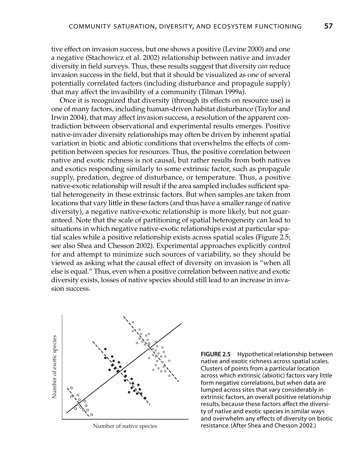tive effect on invasion success, but one shows a positive (Levine 2000) and one a negative (Stachowicz et al. 2002) relationship between native and invader diversity in field surveys. Thus, these results suggest that diversity *can* reduce invasion success in the field, but that it should be visualized as one of several potentially correlated factors (including disturbance and propagule supply) that may affect the invasibility of a community (Tilman 1999a).

Once it is recognized that diversity (through its effects on resource use) is one of many factors, including human-driven habitat disturbance (Taylor and Irwin 2004), that may affect invasion success, a resolution of the apparent contradiction between observational and experimental results emerges. Positive native-invader diversity relationships may often be driven by inherent spatial variation in biotic and abiotic conditions that overwhelms the effects of competition between species for resources. Thus, the positive correlation between native and exotic richness is not causal, but rather results from both natives and exotics responding similarly to some extrinsic factor, such as propagule supply, predation, degree of disturbance, or temperature. Thus, a positive native-exotic relationship will result if the area sampled includes sufficient spatial heterogeneity in these extrinsic factors. But when samples are taken from locations that vary little in these factors (and thus have a smaller range of native diversity), a negative native-exotic relationship is more likely, but not guaranteed. Note that the scale of partitioning of spatial heterogeneity can lead to situations in which negative native-exotic relationships exist at particular spatial scales while a positive relationship exists across spatial scales (Figure 2.5; see also Shea and Chesson 2002). Experimental approaches explicitly control for and attempt to minimize such sources of variability, so they should be viewed as asking what the causal effect of diversity on invasion is "when all else is equal." Thus, even when a positive correlation between native and exotic diversity exists, losses of native species should still lead to an increase in invasion success.



Number of native species

**FIGURE 2.5** Hypothetical relationship between native and exotic richness across spatial scales. Clusters of points from a particular location across which extrinsic (abiotic) factors vary little form negative correlations, but when data are lumped across sites that vary considerably in extrinsic factors, an overall positive relationship results, because these factors affect the diversity of native and exotic species in similar ways and overwhelm any effects of diversity on biotic resistance. (After Shea and Chesson 2002.)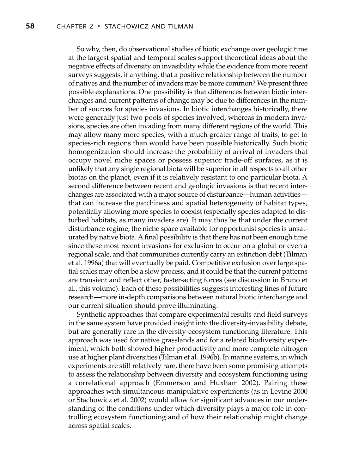So why, then, do observational studies of biotic exchange over geologic time at the largest spatial and temporal scales support theoretical ideas about the negative effects of diversity on invasibility while the evidence from more recent surveys suggests, if anything, that a positive relationship between the number of natives and the number of invaders may be more common? We present three possible explanations. One possibility is that differences between biotic interchanges and current patterns of change may be due to differences in the number of sources for species invasions. In biotic interchanges historically, there were generally just two pools of species involved, whereas in modern invasions, species are often invading from many different regions of the world. This may allow many more species, with a much greater range of traits, to get to species-rich regions than would have been possible historically. Such biotic homogenization should increase the probability of arrival of invaders that occupy novel niche spaces or possess superior trade-off surfaces, as it is unlikely that any single regional biota will be superior in all respects to all other biotas on the planet, even if it is relatively resistant to one particular biota. A second difference between recent and geologic invasions is that recent interchanges are associated with a major source of disturbance—human activities that can increase the patchiness and spatial heterogeneity of habitat types, potentially allowing more species to coexist (especially species adapted to disturbed habitats, as many invaders are). It may thus be that under the current disturbance regime, the niche space available for opportunist species is unsaturated by native biota. A final possibility is that there has not been enough time since these most recent invasions for exclusion to occur on a global or even a regional scale, and that communities currently carry an extinction debt (Tilman et al. 1996a) that will eventually be paid. Competitive exclusion over large spatial scales may often be a slow process, and it could be that the current patterns are transient and reflect other, faster-acting forces (see discussion in Bruno et al., this volume). Each of these possibilities suggests interesting lines of future research—more in-depth comparisons between natural biotic interchange and our current situation should prove illuminating.

Synthetic approaches that compare experimental results and field surveys in the same system have provided insight into the diversity-invasibility debate, but are generally rare in the diversity-ecosystem functioning literature. This approach was used for native grasslands and for a related biodiversity experiment, which both showed higher productivity and more complete nitrogen use at higher plant diversities (Tilman et al. 1996b). In marine systems, in which experiments are still relatively rare, there have been some promising attempts to assess the relationship between diversity and ecosystem functioning using a correlational approach (Emmerson and Huxham 2002). Pairing these approaches with simultaneous manipulative experiments (as in Levine 2000 or Stachowicz et al. 2002) would allow for significant advances in our understanding of the conditions under which diversity plays a major role in controlling ecosystem functioning and of how their relationship might change across spatial scales.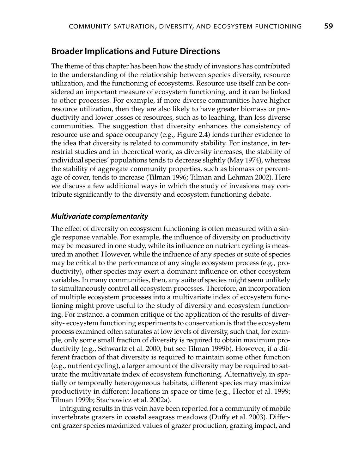### **Broader Implications and Future Directions**

The theme of this chapter has been how the study of invasions has contributed to the understanding of the relationship between species diversity, resource utilization, and the functioning of ecosystems. Resource use itself can be considered an important measure of ecosystem functioning, and it can be linked to other processes. For example, if more diverse communities have higher resource utilization, then they are also likely to have greater biomass or productivity and lower losses of resources, such as to leaching, than less diverse communities. The suggestion that diversity enhances the consistency of resource use and space occupancy (e.g., Figure 2.4) lends further evidence to the idea that diversity is related to community stability. For instance, in terrestrial studies and in theoretical work, as diversity increases, the stability of individual species' populations tends to decrease slightly (May 1974), whereas the stability of aggregate community properties, such as biomass or percentage of cover, tends to increase (Tilman 1996; Tilman and Lehman 2002). Here we discuss a few additional ways in which the study of invasions may contribute significantly to the diversity and ecosystem functioning debate.

#### **Multivariate complementarity**

The effect of diversity on ecosystem functioning is often measured with a single response variable. For example, the influence of diversity on productivity may be measured in one study, while its influence on nutrient cycling is measured in another. However, while the influence of any species or suite of species may be critical to the performance of any single ecosystem process (e.g., productivity), other species may exert a dominant influence on other ecosystem variables. In many communities, then, any suite of species might seem unlikely to simultaneously control all ecosystem processes. Therefore, an incorporation of multiple ecosystem processes into a multivariate index of ecosystem functioning might prove useful to the study of diversity and ecosystem functioning. For instance, a common critique of the application of the results of diversity- ecosystem functioning experiments to conservation is that the ecosystem process examined often saturates at low levels of diversity, such that, for example, only some small fraction of diversity is required to obtain maximum productivity (e.g., Schwartz et al. 2000; but see Tilman 1999b). However, if a different fraction of that diversity is required to maintain some other function (e.g., nutrient cycling), a larger amount of the diversity may be required to saturate the multivariate index of ecosystem functioning. Alternatively, in spatially or temporally heterogeneous habitats, different species may maximize productivity in different locations in space or time (e.g., Hector et al. 1999; Tilman 1999b; Stachowicz et al. 2002a).

Intriguing results in this vein have been reported for a community of mobile invertebrate grazers in coastal seagrass meadows (Duffy et al. 2003). Different grazer species maximized values of grazer production, grazing impact, and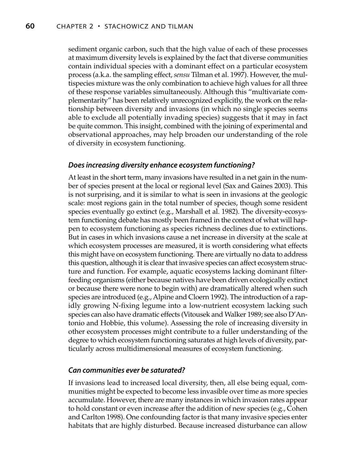sediment organic carbon, such that the high value of each of these processes at maximum diversity levels is explained by the fact that diverse communities contain individual species with a dominant effect on a particular ecosystem process (a.k.a. the sampling effect, *sensu* Tilman et al. 1997). However, the multispecies mixture was the only combination to achieve high values for all three of these response variables simultaneously. Although this "multivariate complementarity" has been relatively unrecognized explicitly, the work on the relationship between diversity and invasions (in which no single species seems able to exclude all potentially invading species) suggests that it may in fact be quite common. This insight, combined with the joining of experimental and observational approaches, may help broaden our understanding of the role of diversity in ecosystem functioning.

#### **Does increasing diversity enhance ecosystem functioning?**

At least in the short term, many invasions have resulted in a net gain in the number of species present at the local or regional level (Sax and Gaines 2003). This is not surprising, and it is similar to what is seen in invasions at the geologic scale: most regions gain in the total number of species, though some resident species eventually go extinct (e.g., Marshall et al. 1982). The diversity-ecosystem functioning debate has mostly been framed in the context of what will happen to ecosystem functioning as species richness declines due to extinctions. But in cases in which invasions cause a net increase in diversity at the scale at which ecosystem processes are measured, it is worth considering what effects this might have on ecosystem functioning. There are virtually no data to address this question, although it is clear that invasive species can affect ecosystem structure and function. For example, aquatic ecosystems lacking dominant filterfeeding organisms (either because natives have been driven ecologically extinct or because there were none to begin with) are dramatically altered when such species are introduced (e.g., Alpine and Cloern 1992). The introduction of a rapidly growing N-fixing legume into a low-nutrient ecosystem lacking such species can also have dramatic effects (Vitousek and Walker 1989; see also D'Antonio and Hobbie, this volume). Assessing the role of increasing diversity in other ecosystem processes might contribute to a fuller understanding of the degree to which ecosystem functioning saturates at high levels of diversity, particularly across multidimensional measures of ecosystem functioning.

#### **Can communities ever be saturated?**

If invasions lead to increased local diversity, then, all else being equal, communities might be expected to become less invasible over time as more species accumulate. However, there are many instances in which invasion rates appear to hold constant or even increase after the addition of new species (e.g., Cohen and Carlton 1998). One confounding factor is that many invasive species enter habitats that are highly disturbed. Because increased disturbance can allow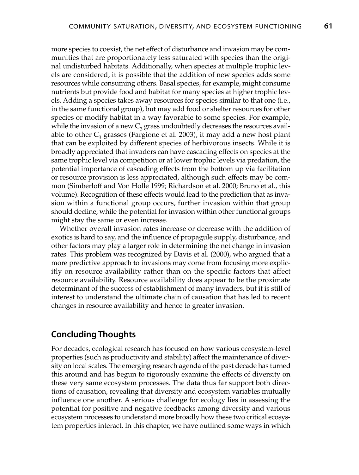more species to coexist, the net effect of disturbance and invasion may be communities that are proportionately less saturated with species than the original undisturbed habitats. Additionally, when species at multiple trophic levels are considered, it is possible that the addition of new species adds some resources while consuming others. Basal species, for example, might consume nutrients but provide food and habitat for many species at higher trophic levels. Adding a species takes away resources for species similar to that one (i.e., in the same functional group), but may add food or shelter resources for other species or modify habitat in a way favorable to some species. For example, while the invasion of a new  $C_3$  grass undoubtedly decreases the resources available to other  $C_3$  grasses (Fargione et al. 2003), it may add a new host plant that can be exploited by different species of herbivorous insects. While it is broadly appreciated that invaders can have cascading effects on species at the same trophic level via competition or at lower trophic levels via predation, the potential importance of cascading effects from the bottom up via facilitation or resource provision is less appreciated, although such effects may be common (Simberloff and Von Holle 1999; Richardson et al. 2000; Bruno et al., this volume). Recognition of these effects would lead to the prediction that as invasion within a functional group occurs, further invasion within that group should decline, while the potential for invasion within other functional groups might stay the same or even increase.

Whether overall invasion rates increase or decrease with the addition of exotics is hard to say, and the influence of propagule supply, disturbance, and other factors may play a larger role in determining the net change in invasion rates. This problem was recognized by Davis et al. (2000), who argued that a more predictive approach to invasions may come from focusing more explicitly on resource availability rather than on the specific factors that affect resource availability. Resource availability does appear to be the proximate determinant of the success of establishment of many invaders, but it is still of interest to understand the ultimate chain of causation that has led to recent changes in resource availability and hence to greater invasion.

# **Concluding Thoughts**

For decades, ecological research has focused on how various ecosystem-level properties (such as productivity and stability) affect the maintenance of diversity on local scales. The emerging research agenda of the past decade has turned this around and has begun to rigorously examine the effects of diversity on these very same ecosystem processes. The data thus far support both directions of causation, revealing that diversity and ecosystem variables mutually influence one another. A serious challenge for ecology lies in assessing the potential for positive and negative feedbacks among diversity and various ecosystem processes to understand more broadly how these two critical ecosystem properties interact. In this chapter, we have outlined some ways in which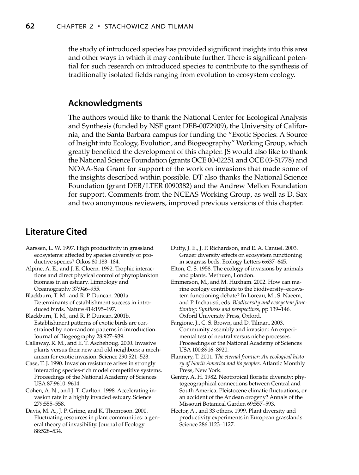the study of introduced species has provided significant insights into this area and other ways in which it may contribute further. There is significant potential for such research on introduced species to contribute to the synthesis of traditionally isolated fields ranging from evolution to ecosystem ecology.

## **Acknowledgments**

The authors would like to thank the National Center for Ecological Analysis and Synthesis (funded by NSF grant DEB-0072909), the University of California, and the Santa Barbara campus for funding the "Exotic Species: A Source of Insight into Ecology, Evolution, and Biogeography" Working Group, which greatly benefited the development of this chapter. JS would also like to thank the National Science Foundation (grants OCE 00-02251 and OCE 03-51778) and NOAA-Sea Grant for support of the work on invasions that made some of the insights described within possible. DT also thanks the National Science Foundation (grant DEB/LTER 0090382) and the Andrew Mellon Foundation for support. Comments from the NCEAS Working Group, as well as D. Sax and two anonymous reviewers, improved previous versions of this chapter.

# **Literature Cited**

- Aarssen, L. W. 1997. High productivity in grassland ecosystems: affected by species diversity or productive species? Oikos 80:183–184.
- Alpine, A. E., and J. E. Cloern. 1992. Trophic interactions and direct physical control of phytoplankton biomass in an estuary. Limnology and Oceanography 37:946–955.

Blackburn, T. M., and R. P. Duncan. 2001a. Determinants of establishment success in introduced birds. Nature 414:195–197.

- Blackburn, T. M., and R. P. Duncan. 2001b. Establishment patterns of exotic birds are constrained by non-random patterns in introduction. Journal of Biogeography 28:927–939.
- Callaway, R. M., and E. T. Aschehoug. 2000. Invasive plants versus their new and old neighbors: a mechanism for exotic invasion. Science 290:521–523.
- Case, T. J. 1990. Invasion resistance arises in strongly interacting species-rich model competitive systems. Proceedings of the National Academy of Sciences USA 87:9610–9614.
- Cohen, A. N., and J. T. Carlton. 1998. Accelerating invasion rate in a highly invaded estuary. Science 279:555–558.
- Davis, M. A., J. P. Grime, and K. Thompson. 2000. Fluctuating resources in plant communities: a general theory of invasibility. Journal of Ecology 88:528–534.

Duffy, J. E., J. P. Richardson, and E. A. Canuel. 2003. Grazer diversity effects on ecosystem functioning in seagrass beds. Ecology Letters 6:637–645.

- Elton, C. S. 1958. The ecology of invasions by animals and plants. Methuen, London.
- Emmerson, M., and M. Huxham. 2002. How can marine ecology contribute to the biodiversity–ecosystem functioning debate? In Loreau, M., S. Naeem, and P. Inchausti, eds. *Biodiversity and ecosystem functioning: Synthesis and perspectives*, pp 139–146. Oxford University Press, Oxford.
- Fargione, J., C. S. Brown, and D. Tilman. 2003. Community assembly and invasion: An experimental test of neutral versus niche processes. Proceedings of the National Academy of Sciences USA 100:8916–8920.
- Flannery, T. 2001. *The eternal frontier: An ecological history of North America and its peoples*. Atlantic Monthly Press, New York.
- Gentry, A. H. 1982. Neotropical floristic diversity: phytogeographical connections between Central and South America, Pleistocene climatic fluctuations, or an accident of the Andean orogeny? Annals of the Missouri Botanical Garden 69:557–593.
- Hector, A., and 33 others. 1999. Plant diversity and productivity experiments in European grasslands. Science 286:1123–1127.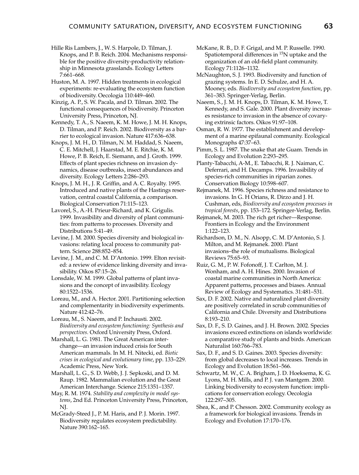Hille Ris Lambers, J., W. S. Harpole, D. Tilman, J. Knops, and P. B. Reich. 2004. Mechanisms responsible for the positive diversity-productivity relationship in Minnesota grasslands. Ecology Letters 7:661–668.

Huston, M. A. 1997. Hidden treatments in ecological experiments: re-evaluating the ecosystem function of biodiversity. Oecologia 110:449–460.

Kinzig, A. P., S. W. Pacala, and D. Tilman. 2002. The functional consequences of biodiversity. Princeton University Press, Princeton, NJ.

Kennedy, T. A., S. Naeem, K. M. Howe, J. M. H. Knops, D. Tilman, and P. Reich. 2002. Biodiversity as a barrier to ecological invasion. Nature 417:636–638.

Knops, J. M. H., D. Tilman, N. M. Haddad, S. Naeem, C. E. Mitchell, J. Haarstad, M. E. Ritchie, K. M. Howe, P. B. Reich, E. Siemann, and J. Groth. 1999. Effects of plant species richness on invasion dynamics, disease outbreaks, insect abundances and diversity. Ecology Letters 2:286–293.

Knops, J. M. H., J. R. Griffin, and A. C. Royalty. 1995. Introduced and native plants of the Hastings reservation, central coastal California, a comparison. Biological Conservation 71:115–123.

Lavorel, S., A.-H. Prieur-Richard, and K. Grigulis. 1999. Invasibility and diversity of plant communities: from patterns to processes. Diversity and Distributions 5:41–49.

Levine, J. M. 2000. Species diversity and biological invasions: relating local process to community pattern. Science 288:852–854.

Levine, J. M., and C. M. D'Antonio. 1999. Elton revisited: a review of evidence linking diversity and invasibility. Oikos 87:15–26.

Lonsdale, W. M. 1999. Global patterns of plant invasions and the concept of invasibility. Ecology 80:1522–1536.

Loreau, M., and A. Hector. 2001. Partitioning selection and complementarity in biodiversity experiments. Nature 412:42–76.

Loreau, M., S. Naeem, and P. Inchausti. 2002. *Biodiversity and ecosystem functioning: Synthesis and perspectives.* Oxford University Press, Oxford.

Marshall, L. G. 1981. The Great American interchange—an invasion induced crisis for South American mammals. In M. H. Nitecki, ed. *Biotic crises in ecological and evolutionary time*, pp. 133–229. Academic Press, New York.

Marshall, L. G., S. D. Webb, J. J. Sepkoski, and D. M. Raup. 1982. Mammalian evolution and the Great American Interchange. Science 215:1351–1357.

May, R. M. 1974. *Stability and complexity in model systems*, 2nd Ed. Princeton University Press, Princeton, NJ.

McGrady-Steed J., P. M. Haris, and P. J. Morin. 1997. Biodiversity regulates ecosystem predictability. Nature 390:162–165.

- McKane, R. B., D. F. Grigal, and M. P. Russelle. 1990. Spatiotemporal differences in <sup>15</sup>N uptake and the organization of an old-field plant community. Ecology 71:1126–1132.
- McNaughton, S. J. 1993. Biodiversity and function of grazing systems. In E. D. Schulze, and H. A. Mooney, eds. *Biodiversity and ecosystem function*, pp. 361–383. Springer-Verlag, Berlin.

Naeem, S., J. M. H. Knops, D. Tilman, K. M. Howe, T. Kennedy, and S. Gale. 2000. Plant diversity increases resistance to invasion in the absence of covarying extrinsic factors. Oikos 91:97–108.

Osman, R. W. 1977. The establishment and development of a marine epifaunal community. Ecological Monographs 47:37–63.

Pimm, S. L. 1987. The snake that ate Guam. Trends in Ecology and Evolution 2:293–295.

Planty-Tabacchi, A-M., E. Tabacchi, R. J. Naiman, C. Deferrari, and H. Decamps. 1996. Invasibility of species-rich communities in riparian zones. Conservation Biology 10:598–607.

Rejmanek, M. 1996. Species richness and resistance to invasions. In G. H Orians, R. Dirzo and J. H. Cushman, eds, *Biodiversity and ecosystem processes in tropical forests*, pp. 153–172. Springer-Verlag, Berlin.

Rejmanek, M. 2003. The rich get richer—Response. Frontiers in Ecology and the Environment 1:122–123.

Richardson, D. M., N. Alsopp, C. M. D'Antonio, S. J. Milton, and M. Rejmanek. 2000. Plant invasions–the role of mutualisms. Biological Reviews 75:65–93.

Ruiz, G. M., P. W. Fofonoff, J. T. Carlton, M. J. Wonham, and A. H. Hines. 2000. Invasion of coastal marine communities in North America: Apparent patterns, processes and biases. Annual Review of Ecology and Systematics. 31:481–531.

Sax, D. F. 2002. Native and naturalized plant diversity are positively correlated in scrub communities of California and Chile. Diversity and Distributions 8:193–210.

Sax, D. F., S. D. Gaines, and J. H. Brown. 2002. Species invasions exceed extinctions on islands worldwide: a comparative study of plants and birds. American Naturalist 160:766–783.

Sax, D. F., and S. D. Gaines. 2003. Species diversity: from global decreases to local increases. Trends in Ecology and Evolution 18:561–566.

Schwartz, M. W., C. A. Brigham, J. D. Hoeksema, K. G. Lyons, M. H. Mills, and P. J. van Mantgem. 2000. Linking biodiversity to ecosystem function: implications for conservation ecology. Oecologia 122:297–305.

Shea, K., and P. Chesson. 2002. Community ecology as a framework for biological invasions. Trends in Ecology and Evolution 17:170–176.